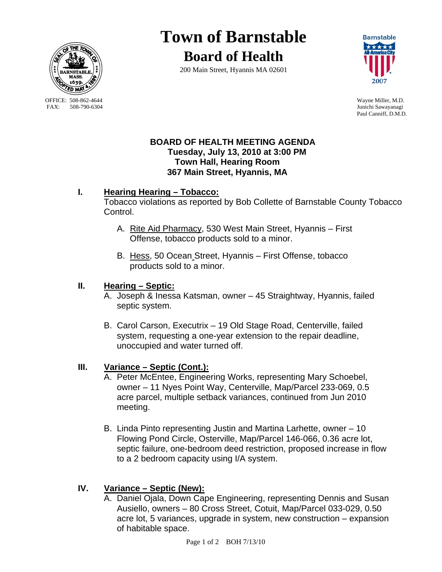

OFFICE: 508-862-4644 Wayne Miller, M.D.<br>
FAX: 508-790-6304 Junichi Sawavanagi

# **Town of Barnstable**

**Board of Health**

200 Main Street, Hyannis MA 02601



Junichi Sawayanagi Paul Canniff, D.M.D.

#### **BOARD OF HEALTH MEETING AGENDA Tuesday, July 13, 2010 at 3:00 PM Town Hall, Hearing Room 367 Main Street, Hyannis, MA**

### **I. Hearing Hearing – Tobacco:**

Tobacco violations as reported by Bob Collette of Barnstable County Tobacco Control.

- A. Rite Aid Pharmacy, 530 West Main Street, Hyannis First Offense, tobacco products sold to a minor.
- B. Hess, 50 Ocean Street, Hyannis First Offense, tobacco products sold to a minor.

# **II. Hearing – Septic:**

- A. Joseph & Inessa Katsman, owner 45 Straightway, Hyannis, failed septic system.
- B. Carol Carson, Executrix 19 Old Stage Road, Centerville, failed system, requesting a one-year extension to the repair deadline, unoccupied and water turned off.

# **III. Variance – Septic (Cont.):**

- A. Peter McEntee, Engineering Works, representing Mary Schoebel, owner – 11 Nyes Point Way, Centerville, Map/Parcel 233-069, 0.5 acre parcel, multiple setback variances, continued from Jun 2010 meeting.
- B. Linda Pinto representing Justin and Martina Larhette, owner 10 Flowing Pond Circle, Osterville, Map/Parcel 146-066, 0.36 acre lot, septic failure, one-bedroom deed restriction, proposed increase in flow to a 2 bedroom capacity using I/A system.

# **IV. Variance – Septic (New):**

A. Daniel Ojala, Down Cape Engineering, representing Dennis and Susan Ausiello, owners – 80 Cross Street, Cotuit, Map/Parcel 033-029, 0.50 acre lot, 5 variances, upgrade in system, new construction – expansion of habitable space.